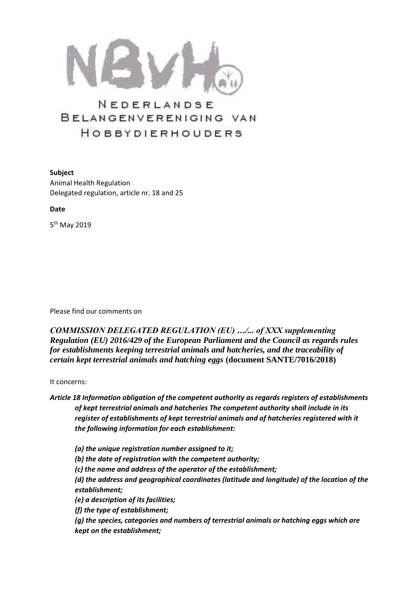

## NEDERLANDSE BELANGENVERENIGING VAN HOBBYDIERHOUDERS

**Subject**  Animal Health Regulation Delegated regulation, article nr. 18 and 25

**Date**

5<sup>th</sup> May 2019

Please find our comments on

*COMMISSION DELEGATED REGULATION (EU) …/... of XXX supplementing Regulation (EU) 2016/429 of the European Parliament and the Council as regards rules for establishments keeping terrestrial animals and hatcheries, and the traceability of certain kept terrestrial animals and hatching eggs* **(document SANTE/7016/2018)**

It concerns:

*Article 18 Information obligation of the competent authority as regards registers of establishments of kept terrestrial animals and hatcheries The competent authority shall include in its register of establishments of kept terrestrial animals and of hatcheries registered with it the following information for each establishment:* 

*(a) the unique registration number assigned to it; (b) the date of registration with the competent authority; (c) the name and address of the operator of the establishment; (d) the address and geographical coordinates (latitude and longitude) of the location of the establishment; (e) a description of its facilities; (f) the type of establishment; (g) the species, categories and numbers of terrestrial animals or hatching eggs which are kept on the establishment;*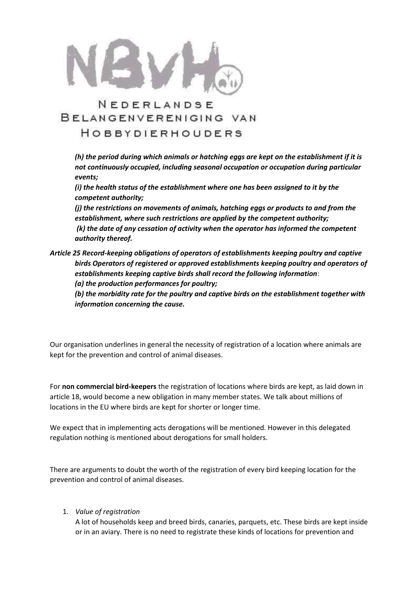

# NEDERLANDSE BELANGENVERENIGING VAN

### HOBBYDIERHOUDERS

*(h) the period during which animals or hatching eggs are kept on the establishment if it is not continuously occupied, including seasonal occupation or occupation during particular events;* 

*(i) the health status of the establishment where one has been assigned to it by the competent authority;* 

*(j) the restrictions on movements of animals, hatching eggs or products to and from the establishment, where such restrictions are applied by the competent authority; (k) the date of any cessation of activity when the operator has informed the competent authority thereof.* 

#### *Article 25 Record-keeping obligations of operators of establishments keeping poultry and captive birds Operators of registered or approved establishments keeping poultry and operators of establishments keeping captive birds shall record the following information*: *(a) the production performances for poultry;*

*(b) the morbidity rate for the poultry and captive birds on the establishment together with information concerning the cause.*

Our organisation underlines in general the necessity of registration of a location where animals are kept for the prevention and control of animal diseases.

For **non commercial bird-keepers** the registration of locations where birds are kept, as laid down in article 18, would become a new obligation in many member states. We talk about millions of locations in the EU where birds are kept for shorter or longer time.

We expect that in implementing acts derogations will be mentioned. However in this delegated regulation nothing is mentioned about derogations for small holders.

There are arguments to doubt the worth of the registration of every bird keeping location for the prevention and control of animal diseases.

1. *Value of registration* 

A lot of households keep and breed birds, canaries, parquets, etc. These birds are kept inside or in an aviary. There is no need to registrate these kinds of locations for prevention and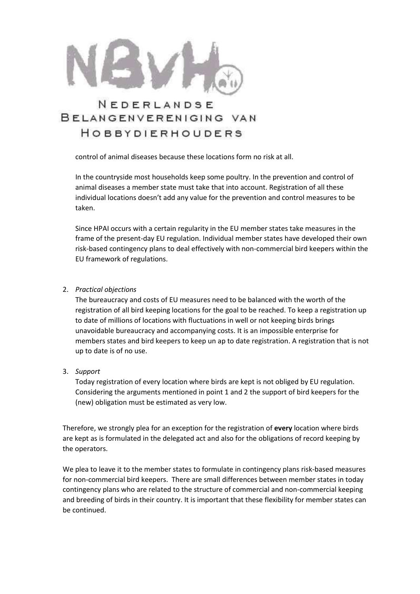

### NEDERLANDSE BELANGENVERENIGING VAN HOBBYDIERHOUDERS

control of animal diseases because these locations form no risk at all.

In the countryside most households keep some poultry. In the prevention and control of animal diseases a member state must take that into account. Registration of all these individual locations doesn't add any value for the prevention and control measures to be taken.

Since HPAI occurs with a certain regularity in the EU member states take measures in the frame of the present-day EU regulation. Individual member states have developed their own risk-based contingency plans to deal effectively with non-commercial bird keepers within the EU framework of regulations.

#### 2. *Practical objections*

The bureaucracy and costs of EU measures need to be balanced with the worth of the registration of all bird keeping locations for the goal to be reached. To keep a registration up to date of millions of locations with fluctuations in well or not keeping birds brings unavoidable bureaucracy and accompanying costs. It is an impossible enterprise for members states and bird keepers to keep un ap to date registration. A registration that is not up to date is of no use.

3. *Support*

Today registration of every location where birds are kept is not obliged by EU regulation. Considering the arguments mentioned in point 1 and 2 the support of bird keepers for the (new) obligation must be estimated as very low.

Therefore, we strongly plea for an exception for the registration of **every** location where birds are kept as is formulated in the delegated act and also for the obligations of record keeping by the operators.

We plea to leave it to the member states to formulate in contingency plans risk-based measures for non-commercial bird keepers. There are small differences between member states in today contingency plans who are related to the structure of commercial and non-commercial keeping and breeding of birds in their country. It is important that these flexibility for member states can be continued.